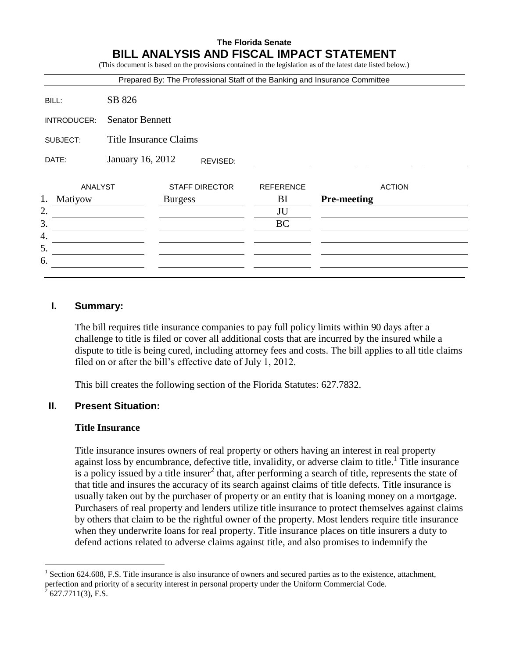# **The Florida Senate BILL ANALYSIS AND FISCAL IMPACT STATEMENT**

(This document is based on the provisions contained in the legislation as of the latest date listed below.)

|               |                               | Prepared By: The Professional Staff of the Banking and Insurance Committee |                  |                    |
|---------------|-------------------------------|----------------------------------------------------------------------------|------------------|--------------------|
| BILL:         | SB 826                        |                                                                            |                  |                    |
| INTRODUCER:   | <b>Senator Bennett</b>        |                                                                            |                  |                    |
| SUBJECT:      | <b>Title Insurance Claims</b> |                                                                            |                  |                    |
| DATE:         | January 16, 2012              | REVISED:                                                                   |                  |                    |
|               | <b>ANALYST</b>                | <b>STAFF DIRECTOR</b>                                                      | <b>REFERENCE</b> | <b>ACTION</b>      |
| 1.<br>Matiyow |                               | <b>Burgess</b>                                                             | BI               | <b>Pre-meeting</b> |
| 2.            |                               |                                                                            | JU               |                    |
| 3.            |                               |                                                                            | <b>BC</b>        |                    |
| 4.            |                               |                                                                            |                  |                    |
|               |                               |                                                                            |                  |                    |
| 5.            |                               |                                                                            |                  |                    |

## **I. Summary:**

The bill requires title insurance companies to pay full policy limits within 90 days after a challenge to title is filed or cover all additional costs that are incurred by the insured while a dispute to title is being cured, including attorney fees and costs. The bill applies to all title claims filed on or after the bill's effective date of July 1, 2012.

This bill creates the following section of the Florida Statutes: 627.7832.

## **II. Present Situation:**

#### **Title Insurance**

Title insurance insures owners of real property or others having an interest in real property against loss by encumbrance, defective title, invalidity, or adverse claim to title.<sup>1</sup> Title insurance is a policy issued by a title insurer<sup>2</sup> that, after performing a search of title, represents the state of that title and insures the accuracy of its search against claims of title defects. Title insurance is usually taken out by the purchaser of property or an entity that is loaning money on a mortgage. Purchasers of real property and lenders utilize title insurance to protect themselves against claims by others that claim to be the rightful owner of the property. Most lenders require title insurance when they underwrite loans for real property. Title insurance places on title insurers a duty to defend actions related to adverse claims against title, and also promises to indemnify the

 $\overline{a}$ 1 Section 624.608, F.S. Title insurance is also insurance of owners and secured parties as to the existence, attachment, perfection and priority of a security interest in personal property under the Uniform Commercial Code.  $\bar{2}$ 

<sup>627.7711(3),</sup> F.S.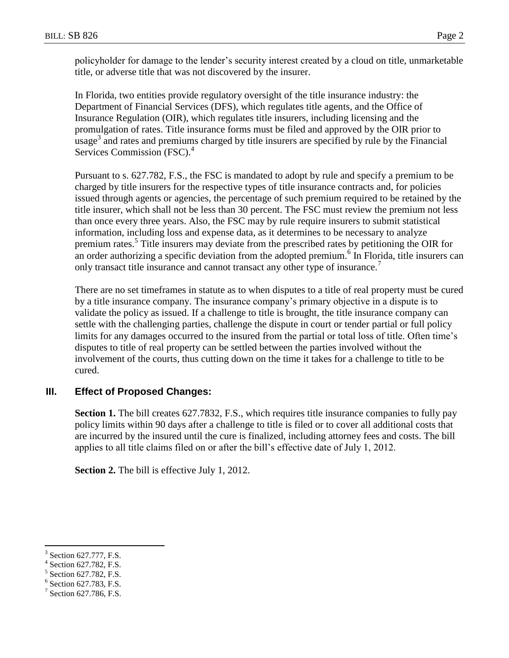policyholder for damage to the lender's security interest created by a cloud on title, unmarketable title, or adverse title that was not discovered by the insurer.

In Florida, two entities provide regulatory oversight of the title insurance industry: the Department of Financial Services (DFS), which regulates title agents, and the Office of Insurance Regulation (OIR), which regulates title insurers, including licensing and the promulgation of rates. Title insurance forms must be filed and approved by the OIR prior to  $\mu$ usage<sup>3</sup> and rates and premiums charged by title insurers are specified by rule by the Financial Services Commission (FSC).<sup>4</sup>

Pursuant to s. 627.782, F.S., the FSC is mandated to adopt by rule and specify a premium to be charged by title insurers for the respective types of title insurance contracts and, for policies issued through agents or agencies, the percentage of such premium required to be retained by the title insurer, which shall not be less than 30 percent. The FSC must review the premium not less than once every three years. Also, the FSC may by rule require insurers to submit statistical information, including loss and expense data, as it determines to be necessary to analyze premium rates.<sup>5</sup> Title insurers may deviate from the prescribed rates by petitioning the OIR for an order authorizing a specific deviation from the adopted premium.<sup>6</sup> In Florida, title insurers can only transact title insurance and cannot transact any other type of insurance.<sup>7</sup>

There are no set timeframes in statute as to when disputes to a title of real property must be cured by a title insurance company. The insurance company's primary objective in a dispute is to validate the policy as issued. If a challenge to title is brought, the title insurance company can settle with the challenging parties, challenge the dispute in court or tender partial or full policy limits for any damages occurred to the insured from the partial or total loss of title. Often time's disputes to title of real property can be settled between the parties involved without the involvement of the courts, thus cutting down on the time it takes for a challenge to title to be cured.

# **III. Effect of Proposed Changes:**

**Section 1.** The bill creates 627.7832, F.S., which requires title insurance companies to fully pay policy limits within 90 days after a challenge to title is filed or to cover all additional costs that are incurred by the insured until the cure is finalized, including attorney fees and costs. The bill applies to all title claims filed on or after the bill's effective date of July 1, 2012.

**Section 2.** The bill is effective July 1, 2012.

 $\overline{a}$ 

<sup>3</sup> Section 627.777, F.S.

<sup>4</sup> Section 627.782, F.S.

<sup>5</sup> Section 627.782, F.S.

<sup>6</sup> Section 627.783, F.S.

 $7$  Section 627.786, F.S.